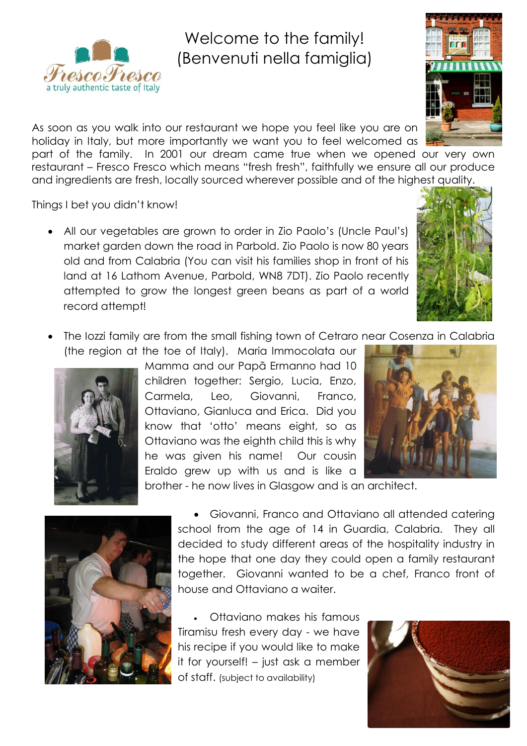

## Welc Welcome to the family! (Benvenuti nella famiglia)

As soon as you walk into our restaurant we hope you feel like you are on holiday in Italy, but more importantly we want you to feel welcomed as

part of the family. In 2001 our dream came true when we opened our very own restaurant – Fresco Fresco which means "fresh fresh", faithfully we ensure all our produce and ingredients are fresh, locally sourced wherever possible and of the highest quality.

Things I bet you didn't know!

 All our vegetables are grown to order in Zio Paolo's (Uncle Paul's) market garden down the road in Parbold. Zio Paolo is now 80 years old and from Calabria (You can visit his families shop in front of his land at 16 Lathom Avenue, Parbold, WN8 7DT). Zio Paolo recently attempted to grow the longest green beans as part of a world record attempt!



 The Iozzi family are from the small fishing town of Cetraro near Cosenza in Calabria (the region at the toe of Italy). Maria Immocolata our



Mamma and our Papã Ermanno had 10 children together: Sergio, Lucia, Enzo, Carmela, Leo, Giovanni, Franco, Ottaviano, Gianluca and Erica. Did you know that 'otto' means eight, so as Ottaviano was the eighth child this is why he was given his name! Our cousin Eraldo grew up with us and is like a brother - he now lives in Glasgow and is an architect.





 Giovanni, Franco and Ottaviano all attended catering school from the age of 14 in Guardia, Calabria. They all decided to study different areas of the hospitality industry in the hope that one day they could open a family restaurant together. Giovanni wanted to be a chef, Franco front of house and Ottaviano a waiter.

 Ottaviano makes his famous Tiramisu fresh every day - we have his recipe if you would like to make it for yourself! – just ask a member of staff. (subject to availability)